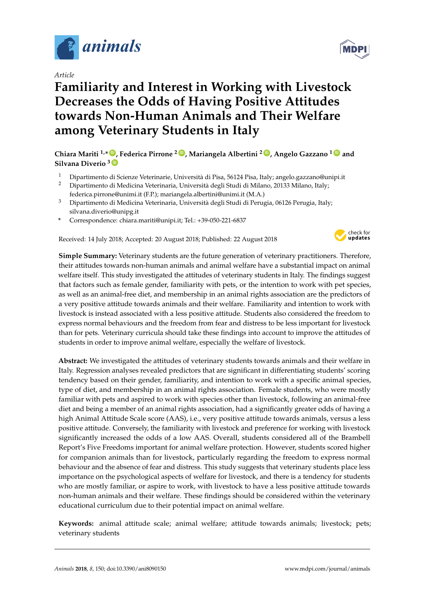

*Article*

# **Familiarity and Interest in Working with Livestock Decreases the Odds of Having Positive Attitudes towards Non-Human Animals and Their Welfare among Veterinary Students in Italy**

## **Chiara Mariti 1,\* [ID](https://orcid.org/0000-0001-7127-4680) , Federica Pirrone <sup>2</sup> [ID](https://orcid.org/0000-0001-8641-3858) , Mariangela Albertini <sup>2</sup> [ID](https://orcid.org/0000-0002-6969-7809) , Angelo Gazzano <sup>1</sup> [ID](https://orcid.org/0000-0001-9649-2027) and Silvana Diverio <sup>3</sup> [ID](https://orcid.org/0000-0003-2128-6952)**

- <sup>1</sup> Dipartimento di Scienze Veterinarie, Università di Pisa, 56124 Pisa, Italy; angelo.gazzano@unipi.it<br><sup>2</sup> Dipartimento di Medicina Veterinaria Università degli Studi di Milano, 20133 Milano, Italy:
- <sup>2</sup> Dipartimento di Medicina Veterinaria, Università degli Studi di Milano, 20133 Milano, Italy; federica.pirrone@unimi.it (F.P.); mariangela.albertini@unimi.it (M.A.)
- <sup>3</sup> Dipartimento di Medicina Veterinaria, Università degli Studi di Perugia, 06126 Perugia, Italy; silvana.diverio@unipg.it
- **\*** Correspondence: chiara.mariti@unipi.it; Tel.: +39-050-221-6837

Received: 14 July 2018; Accepted: 20 August 2018; Published: 22 August 2018



**Simple Summary:** Veterinary students are the future generation of veterinary practitioners. Therefore, their attitudes towards non-human animals and animal welfare have a substantial impact on animal welfare itself. This study investigated the attitudes of veterinary students in Italy. The findings suggest that factors such as female gender, familiarity with pets, or the intention to work with pet species, as well as an animal-free diet, and membership in an animal rights association are the predictors of a very positive attitude towards animals and their welfare. Familiarity and intention to work with livestock is instead associated with a less positive attitude. Students also considered the freedom to express normal behaviours and the freedom from fear and distress to be less important for livestock than for pets. Veterinary curricula should take these findings into account to improve the attitudes of students in order to improve animal welfare, especially the welfare of livestock.

**Abstract:** We investigated the attitudes of veterinary students towards animals and their welfare in Italy. Regression analyses revealed predictors that are significant in differentiating students' scoring tendency based on their gender, familiarity, and intention to work with a specific animal species, type of diet, and membership in an animal rights association. Female students, who were mostly familiar with pets and aspired to work with species other than livestock, following an animal-free diet and being a member of an animal rights association, had a significantly greater odds of having a high Animal Attitude Scale score (AAS), i.e., very positive attitude towards animals, versus a less positive attitude. Conversely, the familiarity with livestock and preference for working with livestock significantly increased the odds of a low AAS. Overall, students considered all of the Brambell Report's Five Freedoms important for animal welfare protection. However, students scored higher for companion animals than for livestock, particularly regarding the freedom to express normal behaviour and the absence of fear and distress. This study suggests that veterinary students place less importance on the psychological aspects of welfare for livestock, and there is a tendency for students who are mostly familiar, or aspire to work, with livestock to have a less positive attitude towards non-human animals and their welfare. These findings should be considered within the veterinary educational curriculum due to their potential impact on animal welfare.

**Keywords:** animal attitude scale; animal welfare; attitude towards animals; livestock; pets; veterinary students

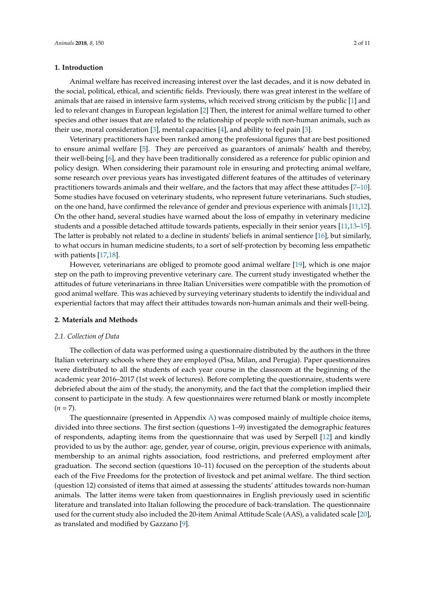## **1. Introduction**

Animal welfare has received increasing interest over the last decades, and it is now debated in the social, political, ethical, and scientific fields. Previously, there was great interest in the welfare of animals that are raised in intensive farm systems, which received strong criticism by the public [\[1\]](#page-8-0) and led to relevant changes in European legislation [\[2\]](#page-8-1) Then, the interest for animal welfare turned to other species and other issues that are related to the relationship of people with non-human animals, such as their use, moral consideration [\[3\]](#page-8-2), mental capacities [\[4\]](#page-8-3), and ability to feel pain [\[3\]](#page-8-2).

Veterinary practitioners have been ranked among the professional figures that are best positioned to ensure animal welfare [\[5\]](#page-8-4). They are perceived as guarantors of animals' health and thereby, their well-being [\[6\]](#page-8-5), and they have been traditionally considered as a reference for public opinion and policy design. When considering their paramount role in ensuring and protecting animal welfare, some research over previous years has investigated different features of the attitudes of veterinary practitioners towards animals and their welfare, and the factors that may affect these attitudes [\[7–](#page-8-6)[10\]](#page-9-0). Some studies have focused on veterinary students, who represent future veterinarians. Such studies, on the one hand, have confirmed the relevance of gender and previous experience with animals [\[11](#page-9-1)[,12\]](#page-9-2). On the other hand, several studies have warned about the loss of empathy in veterinary medicine students and a possible detached attitude towards patients, especially in their senior years [\[11](#page-9-1)[,13–](#page-9-3)[15\]](#page-9-4). The latter is probably not related to a decline in students' beliefs in animal sentience [\[16\]](#page-9-5), but similarly, to what occurs in human medicine students, to a sort of self-protection by becoming less empathetic with patients [\[17](#page-9-6)[,18\]](#page-9-7).

However, veterinarians are obliged to promote good animal welfare [\[19\]](#page-9-8), which is one major step on the path to improving preventive veterinary care. The current study investigated whether the attitudes of future veterinarians in three Italian Universities were compatible with the promotion of good animal welfare. This was achieved by surveying veterinary students to identify the individual and experiential factors that may affect their attitudes towards non-human animals and their well-being.

#### **2. Materials and Methods**

#### *2.1. Collection of Data*

The collection of data was performed using a questionnaire distributed by the authors in the three Italian veterinary schools where they are employed (Pisa, Milan, and Perugia). Paper questionnaires were distributed to all the students of each year course in the classroom at the beginning of the academic year 2016–2017 (1st week of lectures). Before completing the questionnaire, students were debriefed about the aim of the study, the anonymity, and the fact that the completion implied their consent to participate in the study. A few questionnaires were returned blank or mostly incomplete  $(n = 7)$ .

The questionnaire (presented in Appendix [A\)](#page-6-0) was composed mainly of multiple choice items, divided into three sections. The first section (questions 1–9) investigated the demographic features of respondents, adapting items from the questionnaire that was used by Serpell [\[12\]](#page-9-2) and kindly provided to us by the author: age, gender, year of course, origin, previous experience with animals, membership to an animal rights association, food restrictions, and preferred employment after graduation. The second section (questions 10–11) focused on the perception of the students about each of the Five Freedoms for the protection of livestock and pet animal welfare. The third section (question 12) consisted of items that aimed at assessing the students' attitudes towards non-human animals. The latter items were taken from questionnaires in English previously used in scientific literature and translated into Italian following the procedure of back-translation. The questionnaire used for the current study also included the 20-item Animal Attitude Scale (AAS), a validated scale [\[20\]](#page-9-9), as translated and modified by Gazzano [\[9\]](#page-9-10).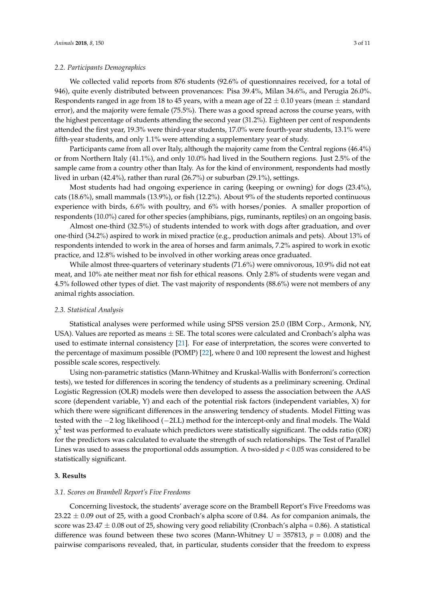## *2.2. Participants Demographics*

We collected valid reports from 876 students (92.6% of questionnaires received, for a total of 946), quite evenly distributed between provenances: Pisa 39.4%, Milan 34.6%, and Perugia 26.0%. Respondents ranged in age from 18 to 45 years, with a mean age of  $22 \pm 0.10$  years (mean  $\pm$  standard error), and the majority were female (75.5%). There was a good spread across the course years, with the highest percentage of students attending the second year (31.2%). Eighteen per cent of respondents attended the first year, 19.3% were third-year students, 17.0% were fourth-year students, 13.1% were fifth-year students, and only 1.1% were attending a supplementary year of study.

Participants came from all over Italy, although the majority came from the Central regions (46.4%) or from Northern Italy (41.1%), and only 10.0% had lived in the Southern regions. Just 2.5% of the sample came from a country other than Italy. As for the kind of environment, respondents had mostly lived in urban (42.4%), rather than rural (26.7%) or suburban (29.1%), settings.

Most students had had ongoing experience in caring (keeping or owning) for dogs (23.4%), cats (18.6%), small mammals (13.9%), or fish (12.2%). About 9% of the students reported continuous experience with birds, 6.6% with poultry, and 6% with horses/ponies. A smaller proportion of respondents (10.0%) cared for other species (amphibians, pigs, ruminants, reptiles) on an ongoing basis.

Almost one-third (32.5%) of students intended to work with dogs after graduation, and over one-third (34.2%) aspired to work in mixed practice (e.g., production animals and pets). About 13% of respondents intended to work in the area of horses and farm animals, 7.2% aspired to work in exotic practice, and 12.8% wished to be involved in other working areas once graduated.

While almost three-quarters of veterinary students (71.6%) were omnivorous, 10.9% did not eat meat, and 10% ate neither meat nor fish for ethical reasons. Only 2.8% of students were vegan and 4.5% followed other types of diet. The vast majority of respondents (88.6%) were not members of any animal rights association.

#### *2.3. Statistical Analysis*

Statistical analyses were performed while using SPSS version 25.0 (IBM Corp., Armonk, NY, USA). Values are reported as means  $\pm$  SE. The total scores were calculated and Cronbach's alpha was used to estimate internal consistency [\[21\]](#page-9-11). For ease of interpretation, the scores were converted to the percentage of maximum possible (POMP) [\[22\]](#page-9-12), where 0 and 100 represent the lowest and highest possible scale scores, respectively.

Using non-parametric statistics (Mann-Whitney and Kruskal-Wallis with Bonferroni's correction tests), we tested for differences in scoring the tendency of students as a preliminary screening. Ordinal Logistic Regression (OLR) models were then developed to assess the association between the AAS score (dependent variable, Y) and each of the potential risk factors (independent variables, X) for which there were significant differences in the answering tendency of students. Model Fitting was tested with the −2 log likelihood (−2LL) method for the intercept-only and final models. The Wald  $\chi^2$  test was performed to evaluate which predictors were statistically significant. The odds ratio (OR) for the predictors was calculated to evaluate the strength of such relationships. The Test of Parallel Lines was used to assess the proportional odds assumption. A two-sided  $p < 0.05$  was considered to be statistically significant.

#### **3. Results**

#### *3.1. Scores on Brambell Report's Five Freedoms*

Concerning livestock, the students' average score on the Brambell Report's Five Freedoms was  $23.22 \pm 0.09$  out of 25, with a good Cronbach's alpha score of 0.84. As for companion animals, the score was  $23.47 \pm 0.08$  out of 25, showing very good reliability (Cronbach's alpha = 0.86). A statistical difference was found between these two scores (Mann-Whitney  $U = 357813$ ,  $p = 0.008$ ) and the pairwise comparisons revealed, that, in particular, students consider that the freedom to express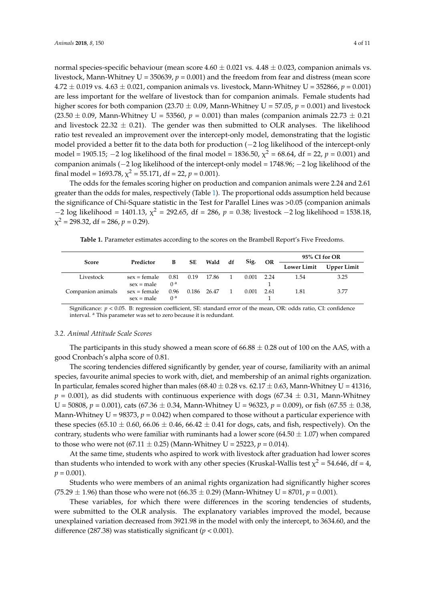normal species-specific behaviour (mean score  $4.60 \pm 0.021$  vs.  $4.48 \pm 0.023$ , companion animals vs. livestock, Mann-Whitney U = 350639, *p* = 0.001) and the freedom from fear and distress (mean score  $4.72 \pm 0.019$  vs.  $4.63 \pm 0.021$ , companion animals vs. livestock, Mann-Whitney U = 352866,  $p = 0.001$ ) are less important for the welfare of livestock than for companion animals. Female students had higher scores for both companion (23.70  $\pm$  0.09, Mann-Whitney U = 57.05,  $p = 0.001$ ) and livestock  $(23.50 \pm 0.09)$ , Mann-Whitney U = 53560,  $p = 0.001$ ) than males (companion animals 22.73  $\pm$  0.21 and livestock 22.32  $\pm$  0.21). The gender was then submitted to OLR analyses. The likelihood ratio test revealed an improvement over the intercept-only model, demonstrating that the logistic model provided a better fit to the data both for production (−2 log likelihood of the intercept-only model = 1905.15;  $-2 \log$  likelihood of the final model = 1836.50,  $\chi^2$  = 68.64, df = 22,  $p$  = 0.001) and companion animals (−2 log likelihood of the intercept-only model = 1748.96; −2 log likelihood of the final model =  $1693.78$ ,  $\chi^2$  = 55.171, df = 22,  $p$  = 0.001).

The odds for the females scoring higher on production and companion animals were 2.24 and 2.61 greater than the odds for males, respectively (Table [1\)](#page-3-0). The proportional odds assumption held because the significance of Chi-Square statistic in the Test for Parallel Lines was >0.05 (companion animals −2 log likelihood = 1401.13, χ <sup>2</sup> = 292.65, df = 286, *p* = 0.38; livestock −2 log likelihood = 1538.18,  $\chi^2$  = 298.32, df = 286, p = 0.29).

**Table 1.** Parameter estimates according to the scores on the Brambell Report's Five Freedoms.

<span id="page-3-0"></span>

| <b>Score</b>      | Predictor                      | B                      | <b>SE</b>   | Wald | df             | Sig.         | OR   | 95% CI for OR      |             |
|-------------------|--------------------------------|------------------------|-------------|------|----------------|--------------|------|--------------------|-------------|
|                   |                                |                        |             |      |                |              |      | <b>Lower Limit</b> | Upper Limit |
| Livestock         | $sex = female$<br>$sex = male$ | 0.81<br>0 <sup>a</sup> | 0.19 17.86  |      | $\overline{1}$ | $0.001$ 2.24 |      | 1.54               | 3.25        |
| Companion animals | $sex = female$<br>$sex = male$ | 0.96<br>0 <sup>a</sup> | 0.186 26.47 |      |                | 0.001        | 2.61 | 1.81               | 3.77        |

Significance:  $p < 0.05$ . B: regression coefficient, SE: standard error of the mean, OR: odds ratio, CI: confidence interval. <sup>a</sup> This parameter was set to zero because it is redundant.

#### *3.2. Animal Attitude Scale Scores*

The participants in this study showed a mean score of  $66.88 \pm 0.28$  out of 100 on the AAS, with a good Cronbach's alpha score of 0.81.

The scoring tendencies differed significantly by gender, year of course, familiarity with an animal species, favourite animal species to work with, diet, and membership of an animal rights organization. In particular, females scored higher than males (68.40  $\pm$  0.28 vs. 62.17  $\pm$  0.63, Mann-Whitney U = 41316,  $p = 0.001$ ), as did students with continuous experience with dogs (67.34  $\pm$  0.31, Mann-Whitney  $U = 50808$ ,  $p = 0.001$ ), cats (67.36  $\pm$  0.34, Mann-Whitney  $U = 96323$ ,  $p = 0.009$ ), or fish (67.55  $\pm$  0.38, Mann-Whitney  $U = 98373$ ,  $p = 0.042$ ) when compared to those without a particular experience with these species (65.10  $\pm$  0.60, 66.06  $\pm$  0.46, 66.42  $\pm$  0.41 for dogs, cats, and fish, respectively). On the contrary, students who were familiar with ruminants had a lower score  $(64.50 \pm 1.07)$  when compared to those who were not  $(67.11 \pm 0.25)$  (Mann-Whitney U = 25223,  $p = 0.014$ ).

At the same time, students who aspired to work with livestock after graduation had lower scores than students who intended to work with any other species (Kruskal-Wallis test  $\chi^2$  = 54.646, df = 4,  $p = 0.001$ .

Students who were members of an animal rights organization had significantly higher scores  $(75.29 \pm 1.96)$  than those who were not  $(66.35 \pm 0.29)$  (Mann-Whitney U = 8701, *p* = 0.001).

These variables, for which there were differences in the scoring tendencies of students, were submitted to the OLR analysis. The explanatory variables improved the model, because unexplained variation decreased from 3921.98 in the model with only the intercept, to 3634.60, and the difference (287.38) was statistically significant (*p* < 0.001).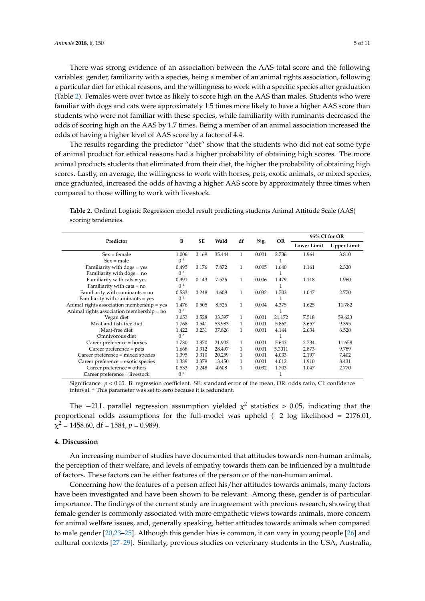There was strong evidence of an association between the AAS total score and the following variables: gender, familiarity with a species, being a member of an animal rights association, following a particular diet for ethical reasons, and the willingness to work with a specific species after graduation (Table [2\)](#page-4-0). Females were over twice as likely to score high on the AAS than males. Students who were familiar with dogs and cats were approximately 1.5 times more likely to have a higher AAS score than students who were not familiar with these species, while familiarity with ruminants decreased the odds of scoring high on the AAS by 1.7 times. Being a member of an animal association increased the odds of having a higher level of AAS score by a factor of 4.4.

The results regarding the predictor "diet" show that the students who did not eat some type of animal product for ethical reasons had a higher probability of obtaining high scores. The more animal products students that eliminated from their diet, the higher the probability of obtaining high scores. Lastly, on average, the willingness to work with horses, pets, exotic animals, or mixed species, once graduated, increased the odds of having a higher AAS score by approximately three times when compared to those willing to work with livestock.

<span id="page-4-0"></span>**Table 2.** Ordinal Logistic Regression model result predicting students Animal Attitude Scale (AAS) scoring tendencies.

|                                             | B              | <b>SE</b> | Wald   | df           | Sig.  | <b>OR</b> | 95% CI for OR      |                    |
|---------------------------------------------|----------------|-----------|--------|--------------|-------|-----------|--------------------|--------------------|
| Predictor                                   |                |           |        |              |       |           | <b>Lower Limit</b> | <b>Upper Limit</b> |
| $Sex = female$                              | 1.006          | 0.169     | 35.444 | 1            | 0.001 | 2.736     | 1.964              | 3.810              |
| $Sex = male$                                | 0 <sup>a</sup> |           |        |              |       |           |                    |                    |
| Familiarity with dogs = yes                 | 0.495          | 0.176     | 7.872  | $\mathbf{1}$ | 0.005 | 1.640     | 1.161              | 2.320              |
| Familiarity with $dogs = no$                | 0 <sup>a</sup> |           |        |              |       |           |                    |                    |
| Familiarity with $\text{cats} = \text{yes}$ | 0.391          | 0.143     | 7.526  | $\mathbf{1}$ | 0.006 | 1.479     | 1.118              | 1.960              |
| Familiarity with $cats = no$                | 0 <sup>a</sup> |           |        |              |       |           |                    |                    |
| Familiarity with ruminants $=$ no           | 0.533          | 0.248     | 4.608  | $\mathbf{1}$ | 0.032 | 1.703     | 1.047              | 2.770              |
| Familiarity with ruminants = yes            | 0 <sup>a</sup> |           |        |              |       | 1         |                    |                    |
| Animal rights association membership = yes  | 1.476          | 0.505     | 8.526  | 1            | 0.004 | 4.375     | 1.625              | 11.782             |
| Animal rights association membership = no   | 0 <sup>a</sup> |           |        |              |       |           |                    |                    |
| Vegan diet                                  | 3.053          | 0.528     | 33.397 | $\mathbf{1}$ | 0.001 | 21.172    | 7.518              | 59.623             |
| Meat and fish-free diet                     | 1.768          | 0.541     | 53.983 | 1            | 0.001 | 5.862     | 3.657              | 9.395              |
| Meat-free diet                              | 1.422          | 0.231     | 37.826 | 1            | 0.001 | 4.144     | 2.634              | 6.520              |
| Omnivorous diet                             | 0 <sup>a</sup> |           |        |              |       | 1         |                    |                    |
| Career preference = horses                  | 1.730          | 0.370     | 21.903 | 1            | 0.001 | 5.643     | 2.734              | 11.658             |
| Career preference = pets                    | 1.668          | 0.312     | 28.497 | 1            | 0.001 | 5.3011    | 2.873              | 9.789              |
| Career preference = mixed species           | 1.395          | 0.310     | 20.259 | $\mathbf{1}$ | 0.001 | 4.033     | 2.197              | 7.402              |
| Career preference = exotic species          | 1.389          | 0.379     | 13.450 | $\mathbf{1}$ | 0.001 | 4.012     | 1.910              | 8.431              |
| Career preference = others                  | 0.533          | 0.248     | 4.608  | 1            | 0.032 | 1.703     | 1.047              | 2.770              |
| Career preference = livestock               | 0 <sup>a</sup> |           |        |              |       |           |                    |                    |

Significance:  $p < 0.05$ . B: regression coefficient. SE: standard error of the mean, OR: odds ratio, CI: confidence interval. <sup>a</sup> This parameter was set to zero because it is redundant.

The  $-2LL$  parallel regression assumption yielded  $\chi^2$  statistics > 0.05, indicating that the proportional odds assumptions for the full-model was upheld (−2 log likelihood = 2176.01,  $\chi^2$  = 1458.60, df = 1584,  $p$  = 0.989).

## **4. Discussion**

An increasing number of studies have documented that attitudes towards non-human animals, the perception of their welfare, and levels of empathy towards them can be influenced by a multitude of factors. These factors can be either features of the person or of the non-human animal.

Concerning how the features of a person affect his/her attitudes towards animals, many factors have been investigated and have been shown to be relevant. Among these, gender is of particular importance. The findings of the current study are in agreement with previous research, showing that female gender is commonly associated with more empathetic views towards animals, more concern for animal welfare issues, and, generally speaking, better attitudes towards animals when compared to male gender [\[20](#page-9-9)[,23–](#page-9-13)[25\]](#page-9-14). Although this gender bias is common, it can vary in young people [\[26\]](#page-9-15) and cultural contexts [\[27–](#page-9-16)[29\]](#page-9-17). Similarly, previous studies on veterinary students in the USA, Australia,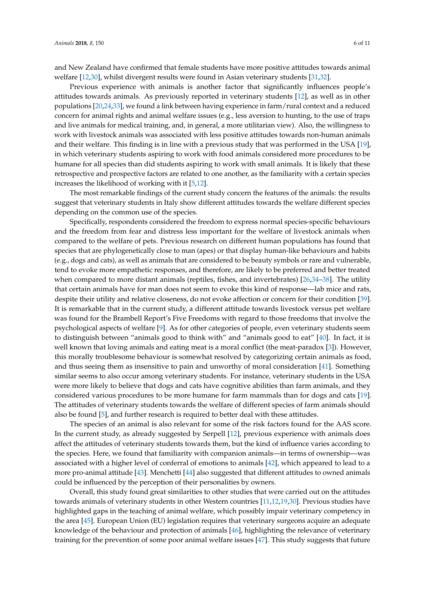and New Zealand have confirmed that female students have more positive attitudes towards animal welfare [\[12](#page-9-2)[,30\]](#page-9-18), whilst divergent results were found in Asian veterinary students [\[31](#page-9-19)[,32\]](#page-10-0).

Previous experience with animals is another factor that significantly influences people's attitudes towards animals. As previously reported in veterinary students [\[12\]](#page-9-2), as well as in other populations [\[20](#page-9-9)[,24](#page-9-20)[,33\]](#page-10-1), we found a link between having experience in farm/rural context and a reduced concern for animal rights and animal welfare issues (e.g., less aversion to hunting, to the use of traps and live animals for medical training, and, in general, a more utilitarian view). Also, the willingness to work with livestock animals was associated with less positive attitudes towards non-human animals and their welfare. This finding is in line with a previous study that was performed in the USA [\[19\]](#page-9-8), in which veterinary students aspiring to work with food animals considered more procedures to be humane for all species than did students aspiring to work with small animals. It is likely that these retrospective and prospective factors are related to one another, as the familiarity with a certain species increases the likelihood of working with it [\[5,](#page-8-4)[12\]](#page-9-2).

The most remarkable findings of the current study concern the features of the animals: the results suggest that veterinary students in Italy show different attitudes towards the welfare different species depending on the common use of the species.

Specifically, respondents considered the freedom to express normal species-specific behaviours and the freedom from fear and distress less important for the welfare of livestock animals when compared to the welfare of pets. Previous research on different human populations has found that species that are phylogenetically close to man (apes) or that display human-like behaviours and habits (e.g., dogs and cats), as well as animals that are considered to be beauty symbols or rare and vulnerable, tend to evoke more empathetic responses, and therefore, are likely to be preferred and better treated when compared to more distant animals (reptiles, fishes, and invertebrates) [\[26,](#page-9-15)[34–](#page-10-2)[38\]](#page-10-3). The utility that certain animals have for man does not seem to evoke this kind of response—lab mice and rats, despite their utility and relative closeness, do not evoke affection or concern for their condition [\[39\]](#page-10-4). It is remarkable that in the current study, a different attitude towards livestock versus pet welfare was found for the Brambell Report's Five Freedoms with regard to those freedoms that involve the psychological aspects of welfare [\[9\]](#page-9-10). As for other categories of people, even veterinary students seem to distinguish between "animals good to think with" and "animals good to eat" [\[40\]](#page-10-5). In fact, it is well known that loving animals and eating meat is a moral conflict (the meat-paradox [\[3\]](#page-8-2)). However, this morally troublesome behaviour is somewhat resolved by categorizing certain animals as food, and thus seeing them as insensitive to pain and unworthy of moral consideration [\[41\]](#page-10-6). Something similar seems to also occur among veterinary students. For instance, veterinary students in the USA were more likely to believe that dogs and cats have cognitive abilities than farm animals, and they considered various procedures to be more humane for farm mammals than for dogs and cats [\[19\]](#page-9-8). The attitudes of veterinary students towards the welfare of different species of farm animals should also be found [\[5\]](#page-8-4), and further research is required to better deal with these attitudes.

The species of an animal is also relevant for some of the risk factors found for the AAS score. In the current study, as already suggested by Serpell [\[12\]](#page-9-2), previous experience with animals does affect the attitudes of veterinary students towards them, but the kind of influence varies according to the species. Here, we found that familiarity with companion animals—in terms of ownership—was associated with a higher level of conferral of emotions to animals [\[42\]](#page-10-7), which appeared to lead to a more pro-animal attitude [\[43\]](#page-10-8). Menchetti [\[44\]](#page-10-9) also suggested that different attitudes to owned animals could be influenced by the perception of their personalities by owners.

Overall, this study found great similarities to other studies that were carried out on the attitudes towards animals of veterinary students in other Western countries [\[11](#page-9-1)[,12](#page-9-2)[,19](#page-9-8)[,30\]](#page-9-18). Previous studies have highlighted gaps in the teaching of animal welfare, which possibly impair veterinary competency in the area [\[45\]](#page-10-10). European Union (EU) legislation requires that veterinary surgeons acquire an adequate knowledge of the behaviour and protection of animals [\[46\]](#page-10-11), highlighting the relevance of veterinary training for the prevention of some poor animal welfare issues [\[47\]](#page-10-12). This study suggests that future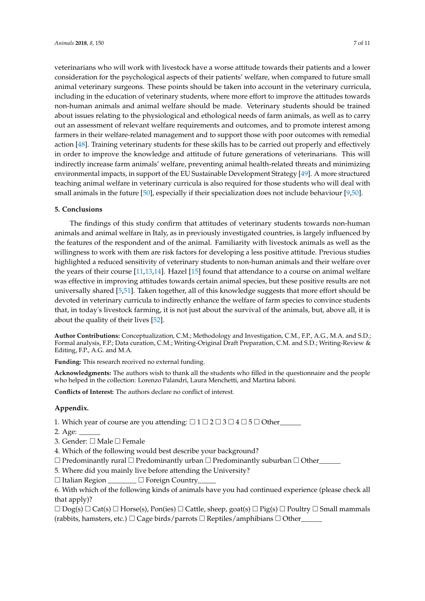veterinarians who will work with livestock have a worse attitude towards their patients and a lower consideration for the psychological aspects of their patients' welfare, when compared to future small animal veterinary surgeons. These points should be taken into account in the veterinary curricula, including in the education of veterinary students, where more effort to improve the attitudes towards non-human animals and animal welfare should be made. Veterinary students should be trained about issues relating to the physiological and ethological needs of farm animals, as well as to carry out an assessment of relevant welfare requirements and outcomes, and to promote interest among farmers in their welfare-related management and to support those with poor outcomes with remedial action [\[48\]](#page-10-13). Training veterinary students for these skills has to be carried out properly and effectively in order to improve the knowledge and attitude of future generations of veterinarians. This will indirectly increase farm animals' welfare, preventing animal health-related threats and minimizing environmental impacts, in support of the EU Sustainable Development Strategy [\[49\]](#page-10-14). A more structured teaching animal welfare in veterinary curricula is also required for those students who will deal with small animals in the future [\[50\]](#page-10-15), especially if their specialization does not include behaviour [\[9](#page-9-10)[,50\]](#page-10-15).

## **5. Conclusions**

The findings of this study confirm that attitudes of veterinary students towards non-human animals and animal welfare in Italy, as in previously investigated countries, is largely influenced by the features of the respondent and of the animal. Familiarity with livestock animals as well as the willingness to work with them are risk factors for developing a less positive attitude. Previous studies highlighted a reduced sensitivity of veterinary students to non-human animals and their welfare over the years of their course [\[11](#page-9-1)[,13](#page-9-3)[,14\]](#page-9-21). Hazel [\[15\]](#page-9-4) found that attendance to a course on animal welfare was effective in improving attitudes towards certain animal species, but these positive results are not universally shared [\[5](#page-8-4)[,51\]](#page-10-16). Taken together, all of this knowledge suggests that more effort should be devoted in veterinary curricula to indirectly enhance the welfare of farm species to convince students that, in today's livestock farming, it is not just about the survival of the animals, but, above all, it is about the quality of their lives [\[52\]](#page-10-17).

**Author Contributions:** Conceptualization, C.M.; Methodology and Investigation, C.M., F.P., A.G., M.A. and S.D.; Formal analysis, F.P.; Data curation, C.M.; Writing-Original Draft Preparation, C.M. and S.D.; Writing-Review & Editing, F.P., A.G. and M.A.

**Funding:** This research received no external funding.

**Acknowledgments:** The authors wish to thank all the students who filled in the questionnaire and the people who helped in the collection: Lorenzo Palandri, Laura Menchetti, and Martina Iaboni.

**Conflicts of Interest:** The authors declare no conflict of interest.

## <span id="page-6-0"></span>**Appendix.**

- 1. Which year of course are you attending:  $\Box$  1  $\Box$  2  $\Box$  3  $\Box$  4  $\Box$  5  $\Box$  Other
- 2. Age: \_\_\_\_\_\_
- 3. Gender:  $\square$  Male  $\square$  Female
- 4. Which of the following would best describe your background?
- $\Box$  Predominantly rural  $\Box$  Predominantly urban  $\Box$  Predominantly suburban  $\Box$  Other
- 5. Where did you mainly live before attending the University?
- $\Box$  Italian Region \_\_\_\_\_\_\_\_  $\Box$  Foreign Country

6. With which of the following kinds of animals have you had continued experience (please check all that apply)?

 $\Box$  Dog(s)  $\Box$  Cat(s)  $\Box$  Horse(s), Pon(ies)  $\Box$  Cattle, sheep, goat(s)  $\Box$  Pig(s)  $\Box$  Poultry  $\Box$  Small mammals (rabbits, hamsters, etc.)  $\Box$  Cage birds/parrots  $\Box$  Reptiles/amphibians  $\Box$  Other\_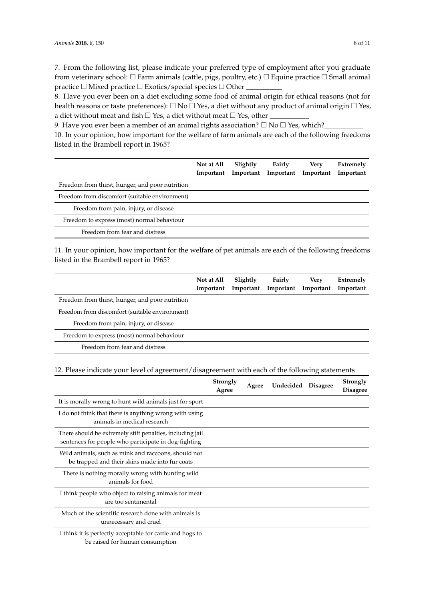7. From the following list, please indicate your preferred type of employment after you graduate from veterinary school:  $\Box$  Farm animals (cattle, pigs, poultry, etc.)  $\Box$  Equine practice  $\Box$  Small animal practice  $\Box$  Mixed practice  $\Box$  Exotics/special species  $\Box$  Other

8. Have you ever been on a diet excluding some food of animal origin for ethical reasons (not for health reasons or taste preferences):  $\Box$  No  $\Box$  Yes, a diet without any product of animal origin  $\Box$  Yes, a diet without meat and fish  $\Box$  Yes, a diet without meat  $\Box$  Yes, other

9. Have you ever been a member of an animal rights association?  $\square$  No  $\square$  Yes, which?

10. In your opinion, how important for the welfare of farm animals are each of the following freedoms listed in the Brambell report in 1965?

|                                                 | Not at All<br>Important | Slightly<br>Important | Fairly<br>Important | <b>Very</b><br>Important | Extremely<br>Important |
|-------------------------------------------------|-------------------------|-----------------------|---------------------|--------------------------|------------------------|
| Freedom from thirst, hunger, and poor nutrition |                         |                       |                     |                          |                        |
| Freedom from discomfort (suitable environment)  |                         |                       |                     |                          |                        |
| Freedom from pain, injury, or disease           |                         |                       |                     |                          |                        |
| Freedom to express (most) normal behaviour      |                         |                       |                     |                          |                        |
| Freedom from fear and distress                  |                         |                       |                     |                          |                        |

11. In your opinion, how important for the welfare of pet animals are each of the following freedoms listed in the Brambell report in 1965?

|                                                 | <b>Not at All</b> | Slightly  | Fairly | <b>Very</b>         | Extremely |
|-------------------------------------------------|-------------------|-----------|--------|---------------------|-----------|
|                                                 | Important         | Important |        | Important Important | Important |
| Freedom from thirst, hunger, and poor nutrition |                   |           |        |                     |           |
| Freedom from discomfort (suitable environment)  |                   |           |        |                     |           |
| Freedom from pain, injury, or disease           |                   |           |        |                     |           |
| Freedom to express (most) normal behaviour      |                   |           |        |                     |           |
| Freedom from fear and distress                  |                   |           |        |                     |           |

## 12. Please indicate your level of agreement/disagreement with each of the following statements

|                                                                                                                   | Strongly<br>Agree | Agree | Undecided Disagree | Strongly<br><b>Disagree</b> |
|-------------------------------------------------------------------------------------------------------------------|-------------------|-------|--------------------|-----------------------------|
| It is morally wrong to hunt wild animals just for sport                                                           |                   |       |                    |                             |
| I do not think that there is anything wrong with using<br>animals in medical research                             |                   |       |                    |                             |
| There should be extremely stiff penalties, including jail<br>sentences for people who participate in dog-fighting |                   |       |                    |                             |
| Wild animals, such as mink and raccoons, should not<br>be trapped and their skins made into fur coats             |                   |       |                    |                             |
| There is nothing morally wrong with hunting wild<br>animals for food                                              |                   |       |                    |                             |
| I think people who object to raising animals for meat<br>are too sentimental                                      |                   |       |                    |                             |
| Much of the scientific research done with animals is<br>unnecessary and cruel                                     |                   |       |                    |                             |
| I think it is perfectly acceptable for cattle and hogs to<br>be raised for human consumption                      |                   |       |                    |                             |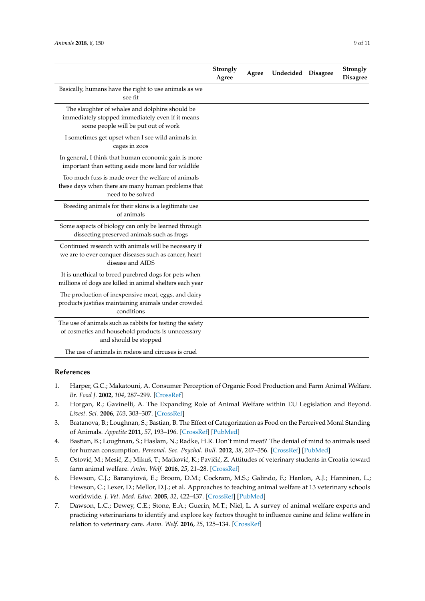|                                                                                                                                           | Strongly<br>Agree | Agree | Undecided Disagree | Strongly<br><b>Disagree</b> |
|-------------------------------------------------------------------------------------------------------------------------------------------|-------------------|-------|--------------------|-----------------------------|
| Basically, humans have the right to use animals as we<br>see fit                                                                          |                   |       |                    |                             |
| The slaughter of whales and dolphins should be<br>immediately stopped immediately even if it means<br>some people will be put out of work |                   |       |                    |                             |
| I sometimes get upset when I see wild animals in<br>cages in zoos                                                                         |                   |       |                    |                             |
| In general, I think that human economic gain is more<br>important than setting aside more land for wildlife                               |                   |       |                    |                             |
| Too much fuss is made over the welfare of animals<br>these days when there are many human problems that<br>need to be solved              |                   |       |                    |                             |
| Breeding animals for their skins is a legitimate use<br>of animals                                                                        |                   |       |                    |                             |
| Some aspects of biology can only be learned through<br>dissecting preserved animals such as frogs                                         |                   |       |                    |                             |
| Continued research with animals will be necessary if<br>we are to ever conquer diseases such as cancer, heart<br>disease and AIDS         |                   |       |                    |                             |
| It is unethical to breed purebred dogs for pets when<br>millions of dogs are killed in animal shelters each year                          |                   |       |                    |                             |
| The production of inexpensive meat, eggs, and dairy<br>products justifies maintaining animals under crowded<br>conditions                 |                   |       |                    |                             |
| The use of animals such as rabbits for testing the safety<br>of cosmetics and household products is unnecessary<br>and should be stopped  |                   |       |                    |                             |
| The use of animals in rodeos and circuses is cruel                                                                                        |                   |       |                    |                             |

## **References**

- <span id="page-8-0"></span>1. Harper, G.C.; Makatouni, A. Consumer Perception of Organic Food Production and Farm Animal Welfare. *Br. Food J.* **2002**, *104*, 287–299. [\[CrossRef\]](http://dx.doi.org/10.1108/00070700210425723)
- <span id="page-8-1"></span>2. Horgan, R.; Gavinelli, A. The Expanding Role of Animal Welfare within EU Legislation and Beyond. *Livest. Sci.* **2006**, *103*, 303–307. [\[CrossRef\]](http://dx.doi.org/10.1016/j.livsci.2006.05.019)
- <span id="page-8-2"></span>3. Bratanova, B.; Loughnan, S.; Bastian, B. The Effect of Categorization as Food on the Perceived Moral Standing of Animals. *Appetite* **2011**, *57*, 193–196. [\[CrossRef\]](http://dx.doi.org/10.1016/j.appet.2011.04.020) [\[PubMed\]](http://www.ncbi.nlm.nih.gov/pubmed/21569805)
- <span id="page-8-3"></span>4. Bastian, B.; Loughnan, S.; Haslam, N.; Radke, H.R. Don't mind meat? The denial of mind to animals used for human consumption. *Personal. Soc. Psychol. Bull.* **2012**, *38*, 247–356. [\[CrossRef\]](http://dx.doi.org/10.1177/0146167211424291) [\[PubMed\]](http://www.ncbi.nlm.nih.gov/pubmed/21980158)
- <span id="page-8-4"></span>5. Ostović, M.; Mesić, Z.; Mikuš, T.; Matković, K.; Pavičić, Z. Attitudes of veterinary students in Croatia toward farm animal welfare. *Anim. Welf.* **2016**, *25*, 21–28. [\[CrossRef\]](http://dx.doi.org/10.7120/09627286.25.1.021)
- <span id="page-8-5"></span>6. Hewson, C.J.; Baranyiová, E.; Broom, D.M.; Cockram, M.S.; Galindo, F.; Hanlon, A.J.; Hanninen, L.; Hewson, C.; Lexer, D.; Mellor, D.J.; et al. Approaches to teaching animal welfare at 13 veterinary schools worldwide. *J. Vet. Med. Educ.* **2005**, *32*, 422–437. [\[CrossRef\]](http://dx.doi.org/10.3138/jvme.32.4.422) [\[PubMed\]](http://www.ncbi.nlm.nih.gov/pubmed/16421823)
- <span id="page-8-6"></span>7. Dawson, L.C.; Dewey, C.E.; Stone, E.A.; Guerin, M.T.; Niel, L. A survey of animal welfare experts and practicing veterinarians to identify and explore key factors thought to influence canine and feline welfare in relation to veterinary care. *Anim. Welf.* **2016**, *25*, 125–134. [\[CrossRef\]](http://dx.doi.org/10.7120/09627286.25.1.125)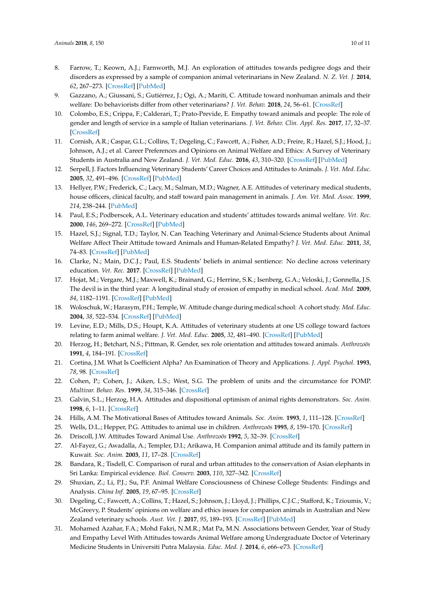- 8. Farrow, T.; Keown, A.J.; Farnworth, M.J. An exploration of attitudes towards pedigree dogs and their disorders as expressed by a sample of companion animal veterinarians in New Zealand. *N. Z. Vet. J.* **2014**, *62*, 267–273. [\[CrossRef\]](http://dx.doi.org/10.1080/00480169.2014.902340) [\[PubMed\]](http://www.ncbi.nlm.nih.gov/pubmed/24624976)
- <span id="page-9-10"></span>9. Gazzano, A.; Giussani, S.; Gutiérrez, J.; Ogi, A.; Mariti, C. Attitude toward nonhuman animals and their welfare: Do behaviorists differ from other veterinarians? *J. Vet. Behav.* **2018**, *24*, 56–61. [\[CrossRef\]](http://dx.doi.org/10.1016/j.jveb.2018.01.006)
- <span id="page-9-0"></span>10. Colombo, E.S.; Crippa, F.; Calderari, T.; Prato-Previde, E. Empathy toward animals and people: The role of gender and length of service in a sample of Italian veterinarians. *J. Vet. Behav. Clin. Appl. Res.* **2017**, *17*, 32–37. [\[CrossRef\]](http://dx.doi.org/10.1016/j.jveb.2016.10.010)
- <span id="page-9-1"></span>11. Cornish, A.R.; Caspar, G.L.; Collins, T.; Degeling, C.; Fawcett, A.; Fisher, A.D.; Freire, R.; Hazel, S.J.; Hood, J.; Johnson, A.J.; et al. Career Preferences and Opinions on Animal Welfare and Ethics: A Survey of Veterinary Students in Australia and New Zealand. *J. Vet. Med. Educ.* **2016**, *43*, 310–320. [\[CrossRef\]](http://dx.doi.org/10.3138/jvme.0615-091R2) [\[PubMed\]](http://www.ncbi.nlm.nih.gov/pubmed/27153506)
- <span id="page-9-2"></span>12. Serpell, J. Factors Influencing Veterinary Students' Career Choices and Attitudes to Animals. *J. Vet. Med. Educ.* **2005**, *32*, 491–496. [\[CrossRef\]](http://dx.doi.org/10.3138/jvme.32.4.491) [\[PubMed\]](http://www.ncbi.nlm.nih.gov/pubmed/16421833)
- <span id="page-9-3"></span>13. Hellyer, P.W.; Frederick, C.; Lacy, M.; Salman, M.D.; Wagner, A.E. Attitudes of veterinary medical students, house officers, clinical faculty, and staff toward pain management in animals. *J. Am. Vet. Med. Assoc.* **1999**, *214*, 238–244. [\[PubMed\]](http://www.ncbi.nlm.nih.gov/pubmed/9926017)
- <span id="page-9-21"></span>14. Paul, E.S.; Podberscek, A.L. Veterinary education and students' attitudes towards animal welfare. *Vet. Rec.* **2000**, *146*, 269–272. [\[CrossRef\]](http://dx.doi.org/10.1136/vr.146.10.269) [\[PubMed\]](http://www.ncbi.nlm.nih.gov/pubmed/10749039)
- <span id="page-9-4"></span>15. Hazel, S.J.; Signal, T.D.; Taylor, N. Can Teaching Veterinary and Animal-Science Students about Animal Welfare Affect Their Attitude toward Animals and Human-Related Empathy? *J. Vet. Med. Educ.* **2011**, *38*, 74–83. [\[CrossRef\]](http://dx.doi.org/10.3138/jvme.38.1.74) [\[PubMed\]](http://www.ncbi.nlm.nih.gov/pubmed/21805938)
- <span id="page-9-5"></span>16. Clarke, N.; Main, D.C.J.; Paul, E.S. Students' beliefs in animal sentience: No decline across veterinary education. *Vet. Rec.* **2017**. [\[CrossRef\]](http://dx.doi.org/10.1136/vr.104165) [\[PubMed\]](http://www.ncbi.nlm.nih.gov/pubmed/28213530)
- <span id="page-9-6"></span>17. Hojat, M.; Vergare, M.J.; Maxwell, K.; Brainard, G.; Herrine, S.K.; Isenberg, G.A.; Veloski, J.; Gonnella, J.S. The devil is in the third year: A longitudinal study of erosion of empathy in medical school. *Acad. Med.* **2009**, *84*, 1182–1191. [\[CrossRef\]](http://dx.doi.org/10.1097/ACM.0b013e3181b17e55) [\[PubMed\]](http://www.ncbi.nlm.nih.gov/pubmed/19707055)
- <span id="page-9-7"></span>18. Woloschuk, W.; Harasym, P.H.; Temple, W. Attitude change during medical school: A cohort study. *Med. Educ.* **2004**, *38*, 522–534. [\[CrossRef\]](http://dx.doi.org/10.1046/j.1365-2929.2004.01820.x) [\[PubMed\]](http://www.ncbi.nlm.nih.gov/pubmed/15107086)
- <span id="page-9-8"></span>19. Levine, E.D.; Mills, D.S.; Houpt, K.A. Attitudes of veterinary students at one US college toward factors relating to farm animal welfare. *J. Vet. Med. Educ.* **2005**, *32*, 481–490. [\[CrossRef\]](http://dx.doi.org/10.3138/jvme.32.4.481) [\[PubMed\]](http://www.ncbi.nlm.nih.gov/pubmed/16421832)
- <span id="page-9-9"></span>20. Herzog, H.; Betchart, N.S.; Pittman, R. Gender, sex role orientation and attitudes toward animals. *Anthrozoös* **1991**, *4*, 184–191. [\[CrossRef\]](http://dx.doi.org/10.2752/089279391787057170)
- <span id="page-9-11"></span>21. Cortina, J.M. What Is Coefficient Alpha? An Examination of Theory and Applications. *J. Appl. Psychol.* **1993**, *78*, 98. [\[CrossRef\]](http://dx.doi.org/10.1037/0021-9010.78.1.98)
- <span id="page-9-12"></span>22. Cohen, P.; Cohen, J.; Aiken, L.S.; West, S.G. The problem of units and the circumstance for POMP. *Multivar. Behav. Res.* **1999**, *34*, 315–346. [\[CrossRef\]](http://dx.doi.org/10.1207/S15327906MBR3403_2)
- <span id="page-9-13"></span>23. Galvin, S.L.; Herzog, H.A. Attitudes and dispositional optimism of animal rights demonstrators. *Soc. Anim.* **1998**, *6*, 1–11. [\[CrossRef\]](http://dx.doi.org/10.1163/156853098X00014)
- <span id="page-9-20"></span>24. Hills, A.M. The Motivational Bases of Attitudes toward Animals. *Soc. Anim.* **1993**, *1*, 111–128. [\[CrossRef\]](http://dx.doi.org/10.1163/156853093X00028)
- <span id="page-9-14"></span>25. Wells, D.L.; Hepper, P.G. Attitudes to animal use in children. *Anthrozoös* **1995**, *8*, 159–170. [\[CrossRef\]](http://dx.doi.org/10.2752/089279395787156338)
- <span id="page-9-15"></span>26. Driscoll, J.W. Attitudes Toward Animal Use. *Anthrozoös* **1992**, *5*, 32–39. [\[CrossRef\]](http://dx.doi.org/10.2752/089279392787011575)
- <span id="page-9-16"></span>27. Al-Fayez, G.; Awadalla, A.; Templer, D.I.; Arikawa, H. Companion animal attitude and its family pattern in Kuwait. *Soc. Anim.* **2003**, *11*, 17–28. [\[CrossRef\]](http://dx.doi.org/10.1163/156853003321618819)
- 28. Bandara, R.; Tisdell, C. Comparison of rural and urban attitudes to the conservation of Asian elephants in Sri Lanka: Empirical evidence. *Biol. Conserv.* **2003**, *110*, 327–342. [\[CrossRef\]](http://dx.doi.org/10.1016/S0006-3207(02)00241-0)
- <span id="page-9-17"></span>29. Shuxian, Z.; Li, P.J.; Su, P.F. Animal Welfare Consciousness of Chinese College Students: Findings and Analysis. *China Inf.* **2005**, *19*, 67–95. [\[CrossRef\]](http://dx.doi.org/10.1177/0920203X05051020)
- <span id="page-9-18"></span>30. Degeling, C.; Fawcett, A.; Collins, T.; Hazel, S.; Johnson, J.; Lloyd, J.; Phillips, C.J.C.; Stafford, K.; Tzioumis, V.; McGreevy, P. Students' opinions on welfare and ethics issues for companion animals in Australian and New Zealand veterinary schools. *Aust. Vet. J.* **2017**, *95*, 189–193. [\[CrossRef\]](http://dx.doi.org/10.1111/avj.12590) [\[PubMed\]](http://www.ncbi.nlm.nih.gov/pubmed/28555952)
- <span id="page-9-19"></span>31. Mohamed Azahar, F.A.; Mohd Fakri, N.M.R.; Mat Pa, M.N. Associations between Gender, Year of Study and Empathy Level With Attitudes towards Animal Welfare among Undergraduate Doctor of Veterinary Medicine Students in Universiti Putra Malaysia. *Educ. Med. J.* **2014**, *6*, e66–e73. [\[CrossRef\]](http://dx.doi.org/10.5959/eimj.v6i4.320)